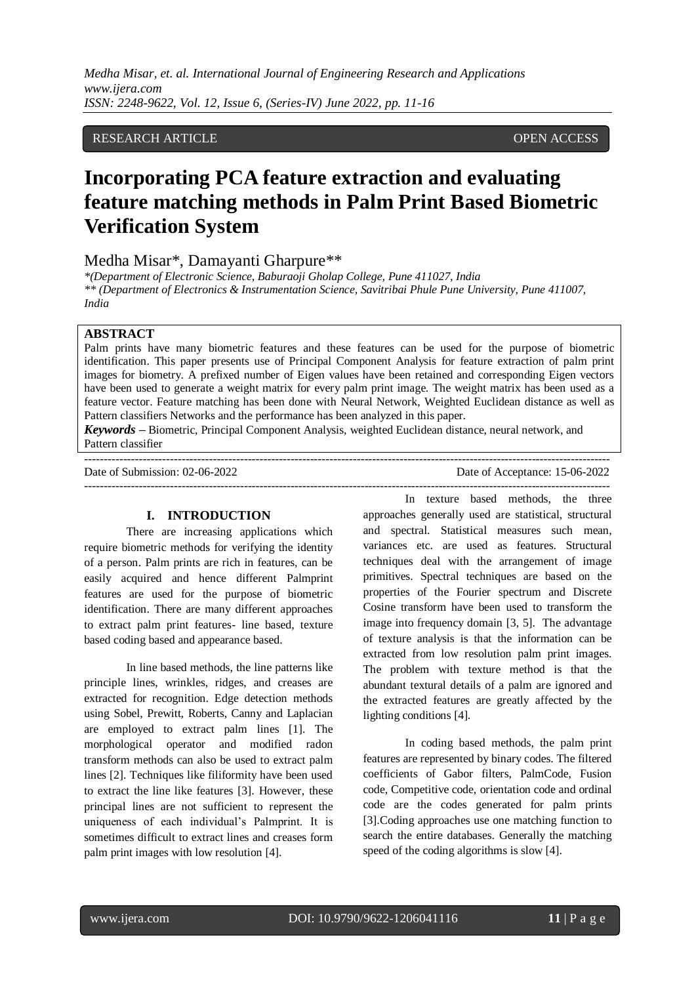*Medha Misar, et. al. International Journal of Engineering Research and Applications www.ijera.com ISSN: 2248-9622, Vol. 12, Issue 6, (Series-IV) June 2022, pp. 11-16*

## RESEARCH ARTICLE **CONSERVERS** OPEN ACCESS

# **Incorporating PCA feature extraction and evaluating feature matching methods in Palm Print Based Biometric Verification System**

## Medha Misar\*, Damayanti Gharpure\*\*

*\*(Department of Electronic Science, Baburaoji Gholap College, Pune 411027, India \*\* (Department of Electronics & Instrumentation Science, Savitribai Phule Pune University, Pune 411007, India*

### **ABSTRACT**

Palm prints have many biometric features and these features can be used for the purpose of biometric identification. This paper presents use of Principal Component Analysis for feature extraction of palm print images for biometry. A prefixed number of Eigen values have been retained and corresponding Eigen vectors have been used to generate a weight matrix for every palm print image. The weight matrix has been used as a feature vector. Feature matching has been done with Neural Network, Weighted Euclidean distance as well as Pattern classifiers Networks and the performance has been analyzed in this paper.

*Keywords* **–** Biometric, Principal Component Analysis, weighted Euclidean distance, neural network, and Pattern classifier

---------------------------------------------------------------------------------------------------------------------------------------

--------------------------------------------------------------------------------------------------------------------------------------- Date of Submission: 02-06-2022 Date of Acceptance: 15-06-2022

#### **I. INTRODUCTION**

There are increasing applications which require biometric methods for verifying the identity of a person. Palm prints are rich in features, can be easily acquired and hence different Palmprint features are used for the purpose of biometric identification. There are many different approaches to extract palm print features- line based, texture based coding based and appearance based.

In line based methods, the line patterns like principle lines, wrinkles, ridges, and creases are extracted for recognition. Edge detection methods using Sobel, Prewitt, Roberts, Canny and Laplacian are employed to extract palm lines [1]. The morphological operator and modified radon transform methods can also be used to extract palm lines [2]. Techniques like filiformity have been used to extract the line like features [3]. However, these principal lines are not sufficient to represent the uniqueness of each individual's Palmprint. It is sometimes difficult to extract lines and creases form palm print images with low resolution [4].

In texture based methods, the three approaches generally used are statistical, structural and spectral. Statistical measures such mean, variances etc. are used as features. Structural techniques deal with the arrangement of image primitives. Spectral techniques are based on the properties of the Fourier spectrum and Discrete Cosine transform have been used to transform the image into frequency domain [3, 5]. The advantage of texture analysis is that the information can be extracted from low resolution palm print images. The problem with texture method is that the abundant textural details of a palm are ignored and the extracted features are greatly affected by the lighting conditions [4].

In coding based methods, the palm print features are represented by binary codes. The filtered coefficients of Gabor filters, PalmCode, Fusion code, Competitive code, orientation code and ordinal code are the codes generated for palm prints [3].Coding approaches use one matching function to search the entire databases. Generally the matching speed of the coding algorithms is slow [4].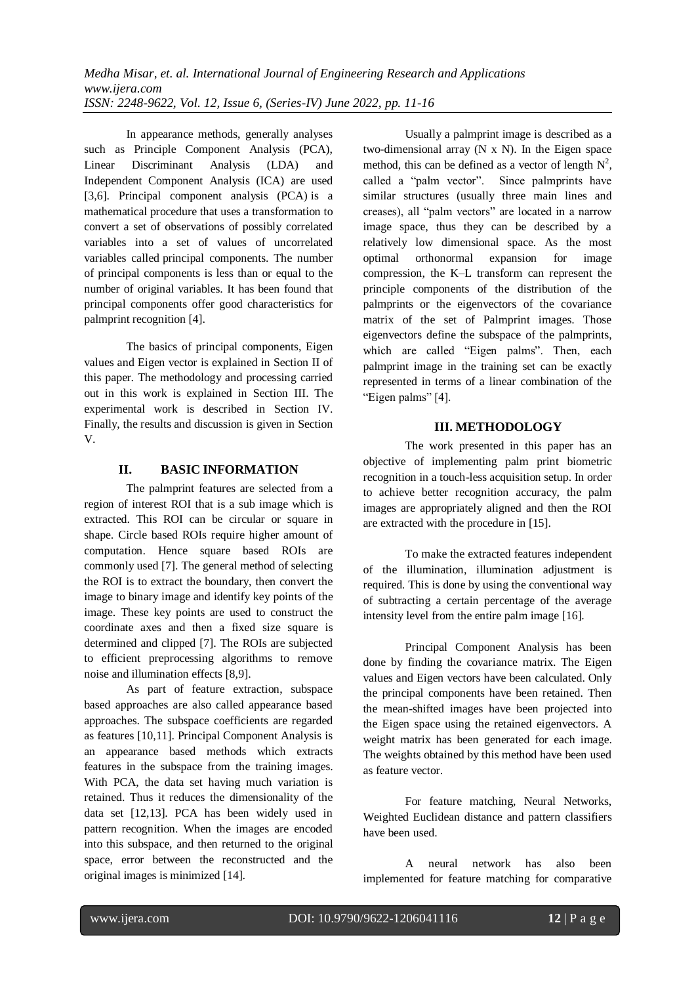In appearance methods, generally analyses such as Principle Component Analysis (PCA), Linear Discriminant Analysis (LDA) and Independent Component Analysis (ICA) are used [3,6]. Principal component analysis (PCA) is a mathematical procedure that uses a transformation to convert a set of observations of possibly correlated variables into a set of values of uncorrelated variables called principal components. The number of principal components is less than or equal to the number of original variables. It has been found that principal components offer good characteristics for palmprint recognition [4].

The basics of principal components, Eigen values and Eigen vector is explained in Section II of this paper. The methodology and processing carried out in this work is explained in Section III. The experimental work is described in Section IV. Finally, the results and discussion is given in Section V.

# **II. BASIC INFORMATION**

The palmprint features are selected from a region of interest ROI that is a sub image which is extracted. This ROI can be circular or square in shape. Circle based ROIs require higher amount of computation. Hence square based ROIs are commonly used [7]. The general method of selecting the ROI is to extract the boundary, then convert the image to binary image and identify key points of the image. These key points are used to construct the coordinate axes and then a fixed size square is determined and clipped [7]. The ROIs are subjected to efficient preprocessing algorithms to remove noise and illumination effects [8,9].

As part of feature extraction, subspace based approaches are also called appearance based approaches. The subspace coefficients are regarded as features [10,11]. Principal Component Analysis is an appearance based methods which extracts features in the subspace from the training images. With PCA, the data set having much variation is retained. Thus it reduces the dimensionality of the data set [12,13]. PCA has been widely used in pattern recognition. When the images are encoded into this subspace, and then returned to the original space, error between the reconstructed and the original images is minimized [14].

Usually a palmprint image is described as a two-dimensional array  $(N \times N)$ . In the Eigen space method, this can be defined as a vector of length  $N^2$ , called a "palm vector". Since palmprints have similar structures (usually three main lines and creases), all "palm vectors" are located in a narrow image space, thus they can be described by a relatively low dimensional space. As the most optimal orthonormal expansion for image compression, the K–L transform can represent the principle components of the distribution of the palmprints or the eigenvectors of the covariance matrix of the set of Palmprint images. Those eigenvectors define the subspace of the palmprints, which are called "Eigen palms". Then, each palmprint image in the training set can be exactly represented in terms of a linear combination of the "Eigen palms" [4].

# **III. METHODOLOGY**

The work presented in this paper has an objective of implementing palm print biometric recognition in a touch-less acquisition setup. In order to achieve better recognition accuracy, the palm images are appropriately aligned and then the ROI are extracted with the procedure in [15].

To make the extracted features independent of the illumination, illumination adjustment is required. This is done by using the conventional way of subtracting a certain percentage of the average intensity level from the entire palm image [16].

Principal Component Analysis has been done by finding the covariance matrix. The Eigen values and Eigen vectors have been calculated. Only the principal components have been retained. Then the mean-shifted images have been projected into the Eigen space using the retained eigenvectors. A weight matrix has been generated for each image. The weights obtained by this method have been used as feature vector.

For feature matching, Neural Networks, Weighted Euclidean distance and pattern classifiers have been used.

A neural network has also been implemented for feature matching for comparative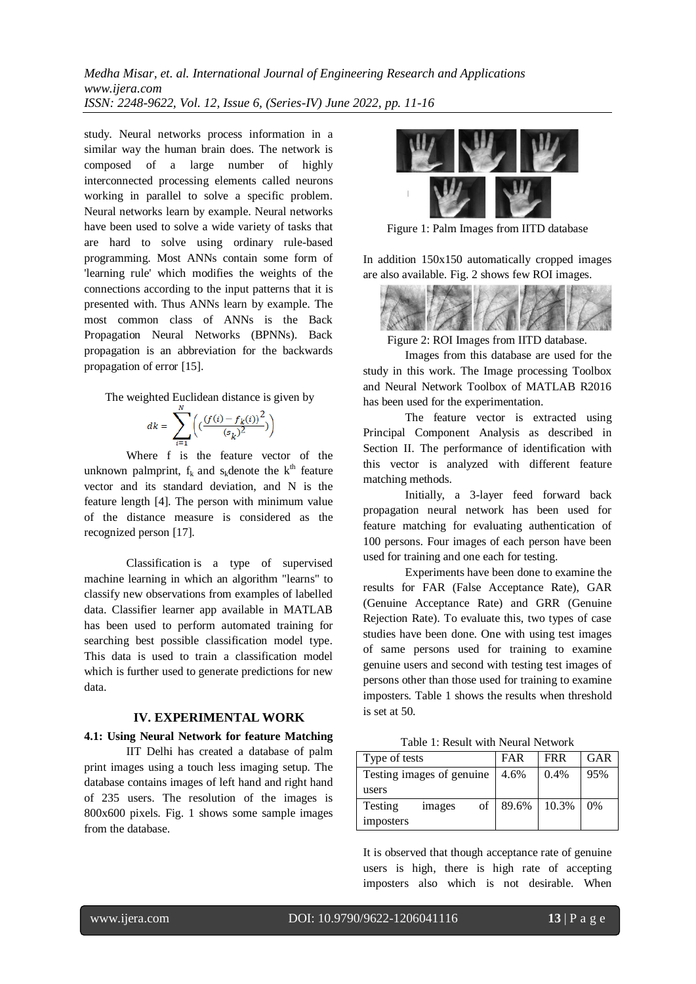*Medha Misar, et. al. International Journal of Engineering Research and Applications www.ijera.com ISSN: 2248-9622, Vol. 12, Issue 6, (Series-IV) June 2022, pp. 11-16*

study. Neural networks process information in a similar way the human brain does. The network is composed of a large number of highly interconnected processing elements called neurons working in parallel to solve a specific problem. Neural networks learn by example. Neural networks have been used to solve a wide variety of tasks that are hard to solve using ordinary rule-based programming. Most ANNs contain some form of 'learning rule' which modifies the weights of the connections according to the input patterns that it is presented with. Thus ANNs learn by example. The most common class of ANNs is the Back Propagation Neural Networks (BPNNs). Back propagation is an abbreviation for the backwards propagation of error [15].

The weighted Euclidean distance is given by

$$
dk = \sum_{i=1}^{N} \left( \left( \frac{(f(i) - f_k(i))^2}{(s_k)^2} \right) \right)
$$

Where f is the feature vector of the unknown palmprint,  $f_k$  and s<sub>k</sub>denote the  $k^{\text{th}}$  feature vector and its standard deviation, and N is the feature length [4]. The person with minimum value of the distance measure is considered as the recognized person [17].

Classification is a type of supervised machine learning in which an algorithm "learns" to classify new observations from examples of labelled data. Classifier learner app available in MATLAB has been used to perform automated training for searching best possible classification model type. This data is used to train a classification model which is further used to generate predictions for new data.

### **IV. EXPERIMENTAL WORK**

## **4.1: Using Neural Network for feature Matching**

IIT Delhi has created a database of palm print images using a touch less imaging setup. The database contains images of left hand and right hand of 235 users. The resolution of the images is 800x600 pixels. Fig. 1 shows some sample images from the database.



Figure 1: Palm Images from IITD database

In addition 150x150 automatically cropped images are also available. Fig. 2 shows few ROI images.



Figure 2: ROI Images from IITD database.

Images from this database are used for the study in this work. The Image processing Toolbox and Neural Network Toolbox of MATLAB R2016 has been used for the experimentation.

The feature vector is extracted using Principal Component Analysis as described in Section II. The performance of identification with this vector is analyzed with different feature matching methods.

Initially, a 3-layer feed forward back propagation neural network has been used for feature matching for evaluating authentication of 100 persons. Four images of each person have been used for training and one each for testing.

Experiments have been done to examine the results for FAR (False Acceptance Rate), GAR (Genuine Acceptance Rate) and GRR (Genuine Rejection Rate). To evaluate this, two types of case studies have been done. One with using test images of same persons used for training to examine genuine users and second with testing test images of persons other than those used for training to examine imposters. Table 1 shows the results when threshold is set at 50.

Table 1: Result with Neural Network

| Type of tests              |        | FAR  | <b>FRR</b> | GAR   |    |
|----------------------------|--------|------|------------|-------|----|
| Testing images of genuine. |        | 4.6% | 0.4%       | 95%   |    |
| users                      |        |      |            |       |    |
| Testing                    | images | οf   | 89.6%      | 10.3% | 0% |
| imposters                  |        |      |            |       |    |

It is observed that though acceptance rate of genuine users is high, there is high rate of accepting imposters also which is not desirable. When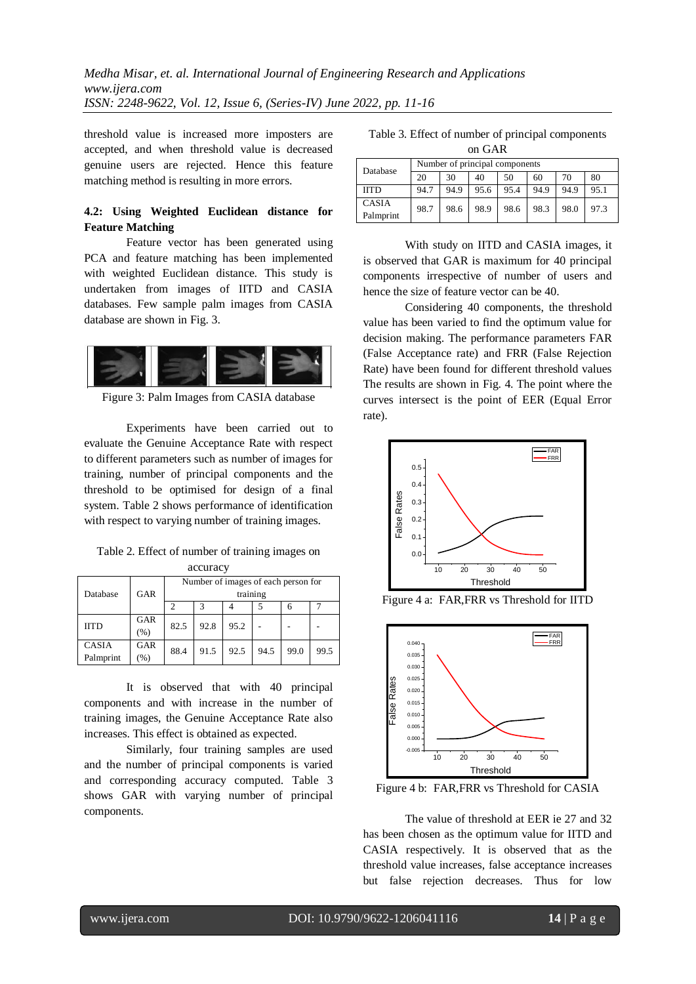threshold value is increased more imposters are accepted, and when threshold value is decreased genuine users are rejected. Hence this feature matching method is resulting in more errors.

# **4.2: Using Weighted Euclidean distance for Feature Matching**

Feature vector has been generated using PCA and feature matching has been implemented with weighted Euclidean distance. This study is undertaken from images of IITD and CASIA databases. Few sample palm images from CASIA database are shown in Fig. 3.



Figure 3: Palm Images from CASIA database

Experiments have been carried out to evaluate the Genuine Acceptance Rate with respect to different parameters such as number of images for training, number of principal components and the threshold to be optimised for design of a final system. Table 2 shows performance of identification with respect to varying number of training images.

| Table 2. Effect of number of training images on |  |
|-------------------------------------------------|--|
| accuracy                                        |  |

| Database                  | GAR            | Number of images of each person for<br>training |      |      |      |      |      |  |
|---------------------------|----------------|-------------------------------------------------|------|------|------|------|------|--|
|                           |                |                                                 |      |      |      | h    |      |  |
| <b>IITD</b>               | GAR<br>(% )    | 82.5                                            | 92.8 | 95.2 |      |      |      |  |
| <b>CASIA</b><br>Palmprint | GAR<br>$(\% )$ | 88.4                                            | 91.5 | 92.5 | 94.5 | 99.0 | 99.5 |  |

It is observed that with 40 principal components and with increase in the number of training images, the Genuine Acceptance Rate also increases. This effect is obtained as expected.

Similarly, four training samples are used and the number of principal components is varied and corresponding accuracy computed. Table 3 shows GAR with varying number of principal components.

Table 3. Effect of number of principal components on GAR

| Database                  | Number of principal components |      |      |      |      |      |      |
|---------------------------|--------------------------------|------|------|------|------|------|------|
|                           | 20                             | 30   | 40   | 50   | 60   | 70   | 80   |
| <b>IITD</b>               | 94.7                           | 94.9 | 95.6 | 95.4 | 94.9 | 94.9 | 95.1 |
| <b>CASIA</b><br>Palmprint | 98.7                           | 98.6 | 98.9 | 98.6 | 98.3 | 98.0 | 97.3 |

With study on IITD and CASIA images, it is observed that GAR is maximum for 40 principal components irrespective of number of users and hence the size of feature vector can be 40.

Considering 40 components, the threshold value has been varied to find the optimum value for decision making. The performance parameters FAR (False Acceptance rate) and FRR (False Rejection Rate) have been found for different threshold values The results are shown in Fig. 4. The point where the curves intersect is the point of EER (Equal Error rate).



Figure 4 a: FAR,FRR vs Threshold for IITD



Figure 4 b: FAR,FRR vs Threshold for CASIA

The value of threshold at EER ie 27 and 32 has been chosen as the optimum value for IITD and CASIA respectively. It is observed that as the threshold value increases, false acceptance increases but false rejection decreases. Thus for low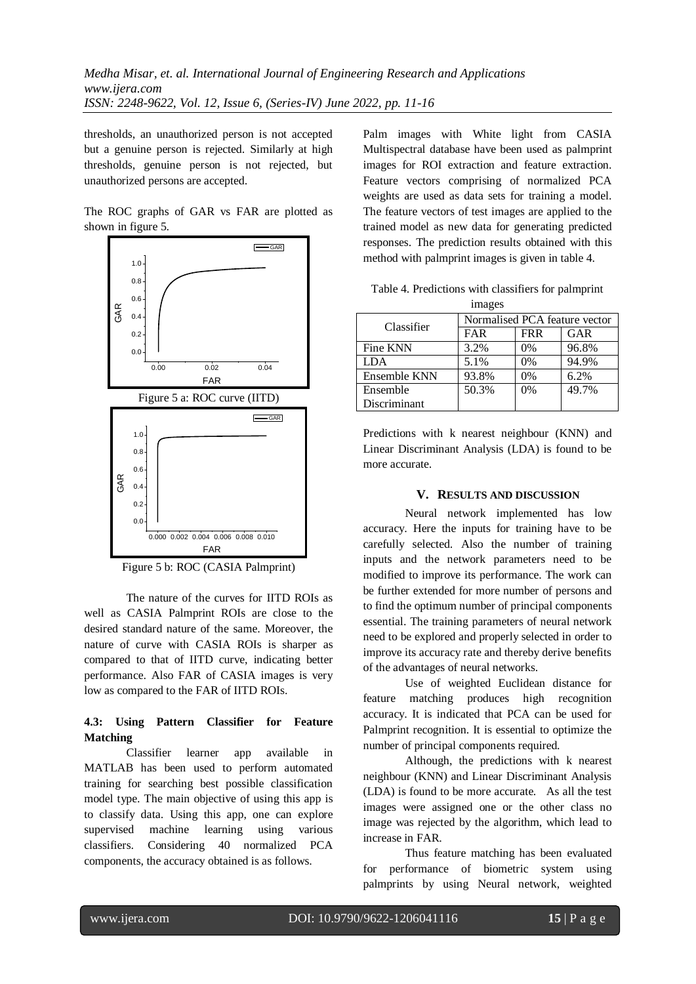thresholds, an unauthorized person is not accepted but a genuine person is rejected. Similarly at high thresholds, genuine person is not rejected, but unauthorized persons are accepted.

The ROC graphs of GAR vs FAR are plotted as shown in figure 5.



Figure 5 b: ROC (CASIA Palmprint)

The nature of the curves for IITD ROIs as well as CASIA Palmprint ROIs are close to the desired standard nature of the same. Moreover, the nature of curve with CASIA ROIs is sharper as compared to that of IITD curve, indicating better performance. Also FAR of CASIA images is very low as compared to the FAR of IITD ROIs.

# **4.3: Using Pattern Classifier for Feature Matching**

Classifier learner app available in MATLAB has been used to perform automated training for searching best possible classification model type. The main objective of using this app is to classify data. Using this app, one can explore supervised machine learning using various classifiers. Considering 40 normalized PCA components, the accuracy obtained is as follows.

FERM FERMIT RESPONSES. The prediction results obtained with this Palm images with White light from CASIA Multispectral database have been used as palmprint images for ROI extraction and feature extraction. Feature vectors comprising of normalized PCA weights are used as data sets for training a model. The feature vectors of test images are applied to the trained model as new data for generating predicted method with palmprint images is given in table 4.

| Table 4. Predictions with classifiers for palmprint |                  |  |  |
|-----------------------------------------------------|------------------|--|--|
|                                                     | 1 <sub>max</sub> |  |  |

| $\frac{1}{2}$ |                               |            |       |  |  |  |  |
|---------------|-------------------------------|------------|-------|--|--|--|--|
| Classifier    | Normalised PCA feature vector |            |       |  |  |  |  |
|               | <b>FAR</b>                    | <b>FRR</b> | GAR   |  |  |  |  |
| Fine KNN      | 3.2%                          | $0\%$      | 96.8% |  |  |  |  |
| <b>LDA</b>    | 5.1%                          | 0%         | 94.9% |  |  |  |  |
| Ensemble KNN  | 93.8%                         | 0%         | 6.2%  |  |  |  |  |
| Ensemble      | 50.3%                         | 0%         | 49.7% |  |  |  |  |
| Discriminant  |                               |            |       |  |  |  |  |

Predictions with k nearest neighbour (KNN) and Linear Discriminant Analysis (LDA) is found to be more accurate.

#### **V. RESULTS AND DISCUSSION**

Neural network implemented has low accuracy. Here the inputs for training have to be carefully selected. Also the number of training inputs and the network parameters need to be modified to improve its performance. The work can be further extended for more number of persons and to find the optimum number of principal components essential. The training parameters of neural network need to be explored and properly selected in order to improve its accuracy rate and thereby derive benefits of the advantages of neural networks.

Use of weighted Euclidean distance for feature matching produces high recognition accuracy. It is indicated that PCA can be used for Palmprint recognition. It is essential to optimize the number of principal components required.

Although, the predictions with k nearest neighbour (KNN) and Linear Discriminant Analysis (LDA) is found to be more accurate. As all the test images were assigned one or the other class no image was rejected by the algorithm, which lead to increase in FAR.

Thus feature matching has been evaluated for performance of biometric system using palmprints by using Neural network, weighted